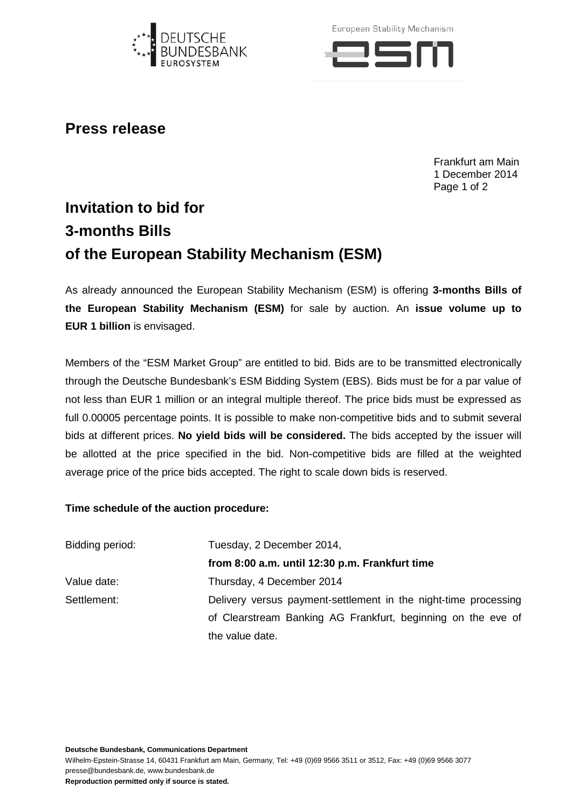

European Stability Mechanism



## **Press release**

Frankfurt am Main 1 December 2014 Page 1 of 2

## **Invitation to bid for 3-months Bills of the European Stability Mechanism (ESM)**

As already announced the European Stability Mechanism (ESM) is offering **3-months Bills of the European Stability Mechanism (ESM)** for sale by auction. An **issue volume up to EUR 1 billion** is envisaged.

Members of the "ESM Market Group" are entitled to bid. Bids are to be transmitted electronically through the Deutsche Bundesbank's ESM Bidding System (EBS). Bids must be for a par value of not less than EUR 1 million or an integral multiple thereof. The price bids must be expressed as full 0.00005 percentage points. It is possible to make non-competitive bids and to submit several bids at different prices. **No yield bids will be considered.** The bids accepted by the issuer will be allotted at the price specified in the bid. Non-competitive bids are filled at the weighted average price of the price bids accepted. The right to scale down bids is reserved.

## **Time schedule of the auction procedure:**

| Bidding period: | Tuesday, 2 December 2014,                                       |
|-----------------|-----------------------------------------------------------------|
|                 | from 8:00 a.m. until 12:30 p.m. Frankfurt time                  |
| Value date:     | Thursday, 4 December 2014                                       |
| Settlement:     | Delivery versus payment-settlement in the night-time processing |
|                 | of Clearstream Banking AG Frankfurt, beginning on the eve of    |
|                 | the value date.                                                 |

**Deutsche Bundesbank, Communications Department**

Wilhelm-Epstein-Strasse 14, 60431 Frankfurt am Main, Germany, Tel: +49 (0)69 9566 3511 or 3512, Fax: +49 (0)69 9566 3077 presse@bundesbank.de, www.bundesbank.de

**Reproduction permitted only if source is stated.**